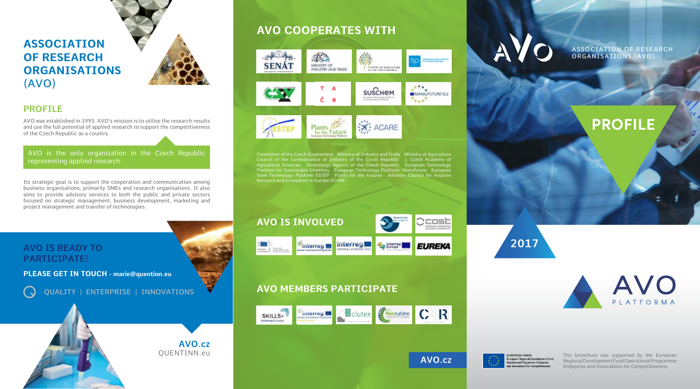# **PROFILE**





UROPEAN UNION European Regional Development Fund Operational Programme Enterprise Innovations for Competitiveness

ASSOCIATION OF RESEARCH ORGANISATIONS (AVO)

# **ASSOCIATION OF RESEARCH ORGANISATIONS** (AVO)



### **PROFILE**

AVO was established in 1993. AVO's mission is to utilise the research results and use the full potential of applied research to support the competitiveness of the Czech Republic as a country.



## **AVO COOPERATES WITH**



Committee of the Czech Government Ministry of Industry and Trade Ministry of Agriculture Council of the Confederation of Industry of the Czech Republic | J. Czech Academy of Agriculture Sciences | Technology Agency of the Czech Republic | European Technology Platform for Sustainable Chemisty | European Technology Platform Manufuture | European Steel Technology Platform ESTEP Dlants for the Futures Advisory Council for Aviation Research and Innovation in Europe ACARE

### **AVO IS INVOLVED**



# **AVO MEMBERS PARTICIPATE**





### **AVO IS READY TO PARTICIPATE!**

( J

**PLEASE GET IN TOUCH - marie@quentinn.eu**

Its strategic goal is to support the cooperation and communication among business organisations, primarily SMEs and research organisations. It also aims to provide advisory services to both the public and private sectors focused on strategic management, business development, marketing and project management and transfer of technologies.

### AVO is the only organization in the Czech Republic representing applied research.

QUALITY | ENTERPRISE | INNOVATIONS

This bronchure was supported by the European Regional Development Fund Operational Programme Enterprise and Innovations for Competitiveness

**AVO.cz**